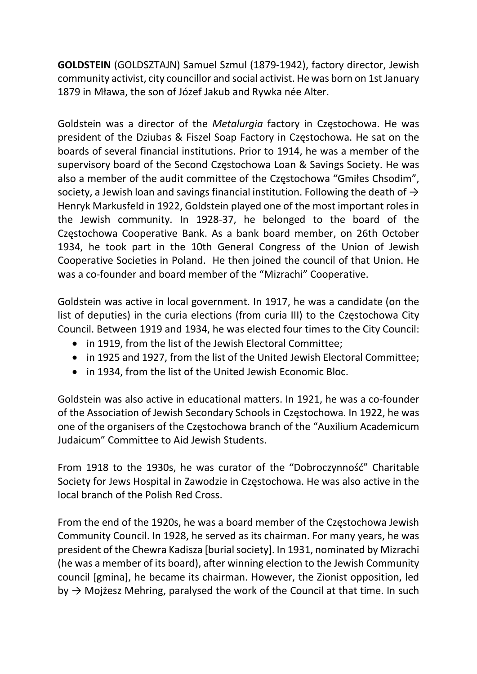GOLDSTEIN (GOLDSZTAJN) Samuel Szmul (1879-1942), factory director, Jewish community activist, city councillor and social activist. He was born on 1st January 1879 in Mława, the son of Józef Jakub and Rywka née Alter.

Goldstein was a director of the Metalurgia factory in Częstochowa. He was president of the Dziubas & Fiszel Soap Factory in Częstochowa. He sat on the boards of several financial institutions. Prior to 1914, he was a member of the supervisory board of the Second Częstochowa Loan & Savings Society. He was also a member of the audit committee of the Częstochowa "Gmiłes Chsodim", society, a Jewish loan and savings financial institution. Following the death of  $\rightarrow$ Henryk Markusfeld in 1922, Goldstein played one of the most important roles in the Jewish community. In 1928-37, he belonged to the board of the Częstochowa Cooperative Bank. As a bank board member, on 26th October 1934, he took part in the 10th General Congress of the Union of Jewish Cooperative Societies in Poland. He then joined the council of that Union. He was a co-founder and board member of the "Mizrachi" Cooperative.

Goldstein was active in local government. In 1917, he was a candidate (on the list of deputies) in the curia elections (from curia III) to the Częstochowa City Council. Between 1919 and 1934, he was elected four times to the City Council:

- in 1919, from the list of the Jewish Electoral Committee;
- in 1925 and 1927, from the list of the United Jewish Electoral Committee;
- in 1934, from the list of the United Jewish Economic Bloc.

Goldstein was also active in educational matters. In 1921, he was a co-founder of the Association of Jewish Secondary Schools in Częstochowa. In 1922, he was one of the organisers of the Częstochowa branch of the "Auxilium Academicum Judaicum" Committee to Aid Jewish Students.

From 1918 to the 1930s, he was curator of the "Dobroczynność" Charitable Society for Jews Hospital in Zawodzie in Częstochowa. He was also active in the local branch of the Polish Red Cross.

From the end of the 1920s, he was a board member of the Częstochowa Jewish Community Council. In 1928, he served as its chairman. For many years, he was president of the Chewra Kadisza [burial society]. In 1931, nominated by Mizrachi (he was a member of its board), after winning election to the Jewish Community council [gmina], he became its chairman. However, the Zionist opposition, led by  $\rightarrow$  Mojżesz Mehring, paralysed the work of the Council at that time. In such